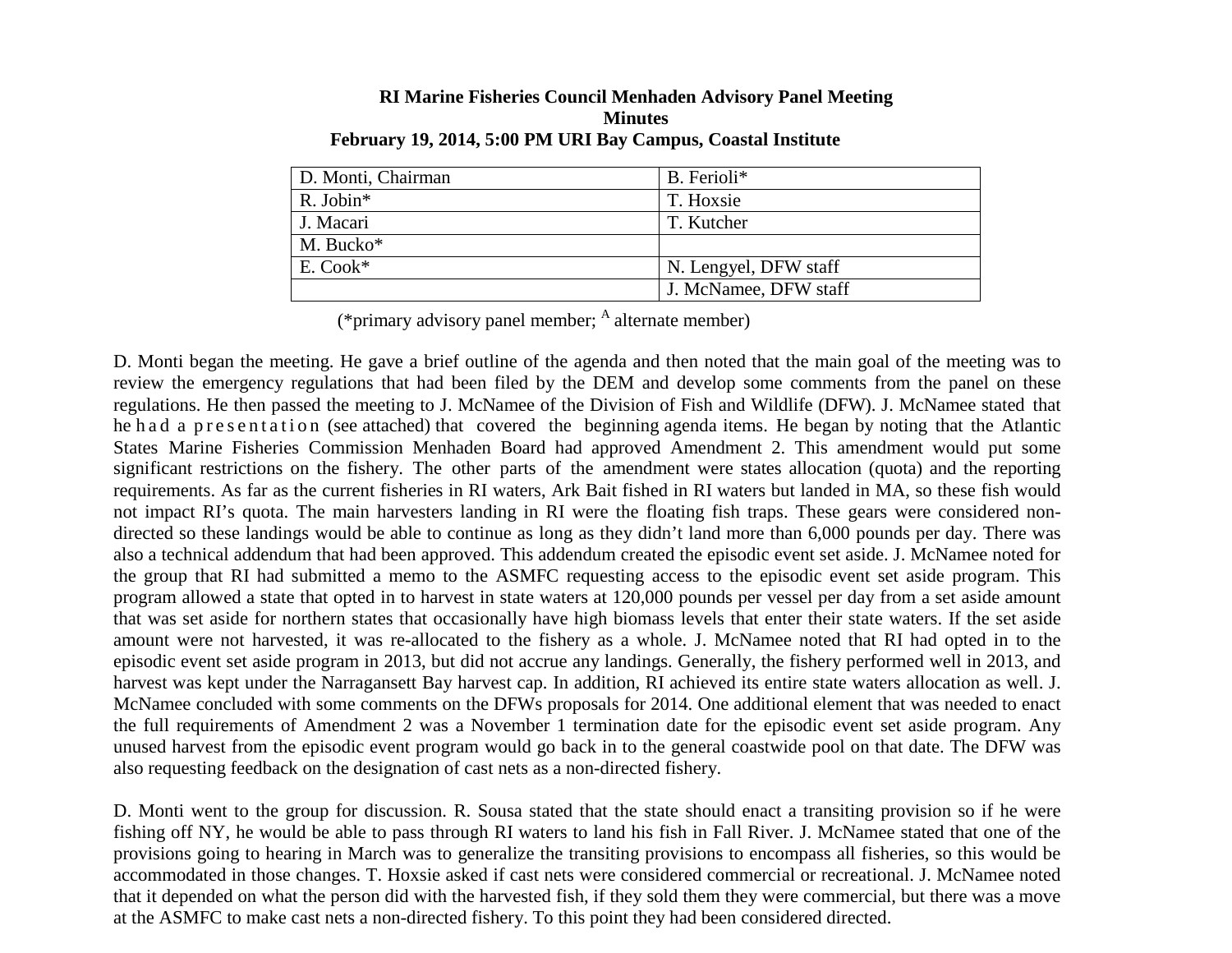| <b>RI Marine Fisheries Council Menhaden Advisory Panel Meeting</b> |
|--------------------------------------------------------------------|
| <b>Minutes</b>                                                     |
| February 19, 2014, 5:00 PM URI Bay Campus, Coastal Institute       |

| D. Monti, Chairman | B. Ferioli*           |
|--------------------|-----------------------|
| R. Jobin*          | T. Hoxsie             |
| J. Macari          | T. Kutcher            |
| M. Bucko*          |                       |
| E. Cook*           | N. Lengyel, DFW staff |
|                    | J. McNamee, DFW staff |

(\*primary advisory panel member;  $<sup>A</sup>$  alternate member)</sup>

D. Monti began the meeting. He gave a brief outline of the agenda and then noted that the main goal of the meeting was to review the emergency regulations that had been filed by the DEM and develop some comments from the panel on these regulations. He then passed the meeting to J. McNamee of the Division of Fish and Wildlife (DFW). J. McNamee stated that he had a presentation (see attached) that covered the beginning agenda items. He began by noting that the Atlantic States Marine Fisheries Commission Menhaden Board had approved Amendment 2. This amendment would put some significant restrictions on the fishery. The other parts of the amendment were states allocation (quota) and the reporting requirements. As far as the current fisheries in RI waters, Ark Bait fished in RI waters but landed in MA, so these fish would not impact RI's quota. The main harvesters landing in RI were the floating fish traps. These gears were considered nondirected so these landings would be able to continue as long as they didn't land more than 6,000 pounds per day. There was also a technical addendum that had been approved. This addendum created the episodic event set aside. J. McNamee noted for the group that RI had submitted a memo to the ASMFC requesting access to the episodic event set aside program. This program allowed a state that opted in to harvest in state waters at 120,000 pounds per vessel per day from a set aside amount that was set aside for northern states that occasionally have high biomass levels that enter their state waters. If the set aside amount were not harvested, it was re-allocated to the fishery as a whole. J. McNamee noted that RI had opted in to the episodic event set aside program in 2013, but did not accrue any landings. Generally, the fishery performed well in 2013, and harvest was kept under the Narragansett Bay harvest cap. In addition, RI achieved its entire state waters allocation as well. J. McNamee concluded with some comments on the DFWs proposals for 2014. One additional element that was needed to enact the full requirements of Amendment 2 was a November 1 termination date for the episodic event set aside program. Any unused harvest from the episodic event program would go back in to the general coastwide pool on that date. The DFW was also requesting feedback on the designation of cast nets as a non-directed fishery.

D. Monti went to the group for discussion. R. Sousa stated that the state should enact a transiting provision so if he were fishing off NY, he would be able to pass through RI waters to land his fish in Fall River. J. McNamee stated that one of the provisions going to hearing in March was to generalize the transiting provisions to encompass all fisheries, so this would be accommodated in those changes. T. Hoxsie asked if cast nets were considered commercial or recreational. J. McNamee noted that it depended on what the person did with the harvested fish, if they sold them they were commercial, but there was a move at the ASMFC to make cast nets a non-directed fishery. To this point they had been considered directed.